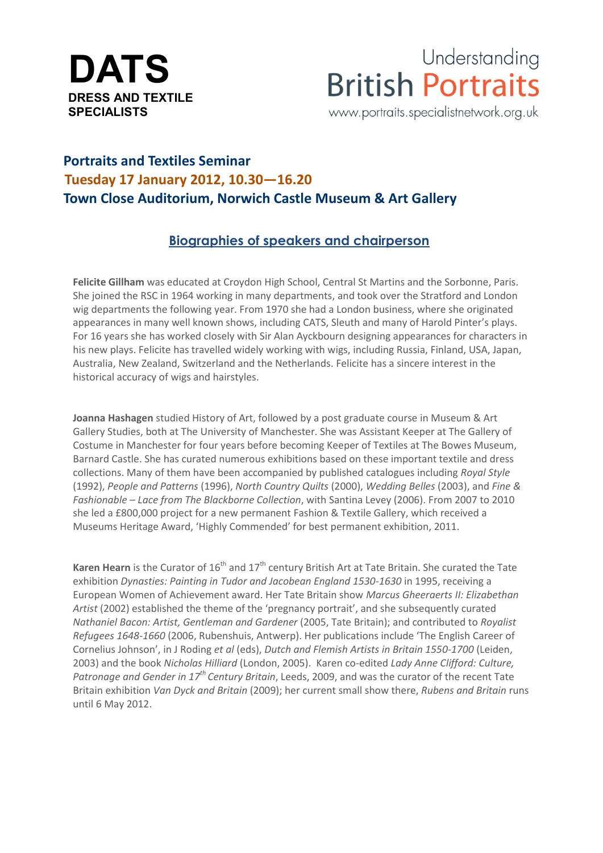

Understanding **British Portraits** 

www.portraits.specialistnetwork.org.uk

## **Portraits and Textiles Seminar Tuesday 17 January 2012, 10.30—16.20 Town Close Auditorium, Norwich Castle Museum & Art Gallery**

## **Biographies of speakers and chairperson**

**Felicite Gillham** was educated at Croydon High School, Central St Martins and the Sorbonne, Paris. She joined the RSC in 1964 working in many departments, and took over the Stratford and London wig departments the following year. From 1970 she had a London business, where she originated appearances in many well known shows, including CATS, Sleuth and many of Harold Pinter's plays. For 16 years she has worked closely with Sir Alan Ayckbourn designing appearances for characters in his new plays. Felicite has travelled widely working with wigs, including Russia, Finland, USA, Japan, Australia, New Zealand, Switzerland and the Netherlands. Felicite has a sincere interest in the historical accuracy of wigs and hairstyles.

**Joanna Hashagen** studied History of Art, followed by a post graduate course in Museum & Art Gallery Studies, both at The University of Manchester. She was Assistant Keeper at The Gallery of Costume in Manchester for four years before becoming Keeper of Textiles at The Bowes Museum, Barnard Castle. She has curated numerous exhibitions based on these important textile and dress collections. Many of them have been accompanied by published catalogues including *Royal Style* (1992), *People and Patterns* (1996), *North Country Quilts* (2000), *Wedding Belles* (2003), and *Fine & Fashionable – Lace from The Blackborne Collection*, with Santina Levey (2006). From 2007 to 2010 she led a £800,000 project for a new permanent Fashion & Textile Gallery, which received a Museums Heritage Award, 'Highly Commended' for best permanent exhibition, 2011.

Karen Hearn is the Curator of 16<sup>th</sup> and 17<sup>th</sup> century British Art at Tate Britain. She curated the Tate exhibition *Dynasties: Painting in Tudor and Jacobean England 1530-1630* in 1995, receiving a European Women of Achievement award. Her Tate Britain show *Marcus Gheeraerts II: Elizabethan Artist* (2002) established the theme of the 'pregnancy portrait', and she subsequently curated *Nathaniel Bacon: Artist, Gentleman and Gardener* (2005, Tate Britain); and contributed to *Royalist Refugees 1648-1660* (2006, Rubenshuis, Antwerp). Her publications include 'The English Career of Cornelius Johnson', in J Roding *et al* (eds), *Dutch and Flemish Artists in Britain 1550-1700* (Leiden, 2003) and the book *Nicholas Hilliard* (London, 2005). Karen co-edited *Lady Anne Clifford: Culture, Patronage and Gender in 17th Century Britain*, Leeds, 2009, and was the curator of the recent Tate Britain exhibition *Van Dyck and Britain* (2009); her current small show there, *Rubens and Britain* runs until 6 May 2012.